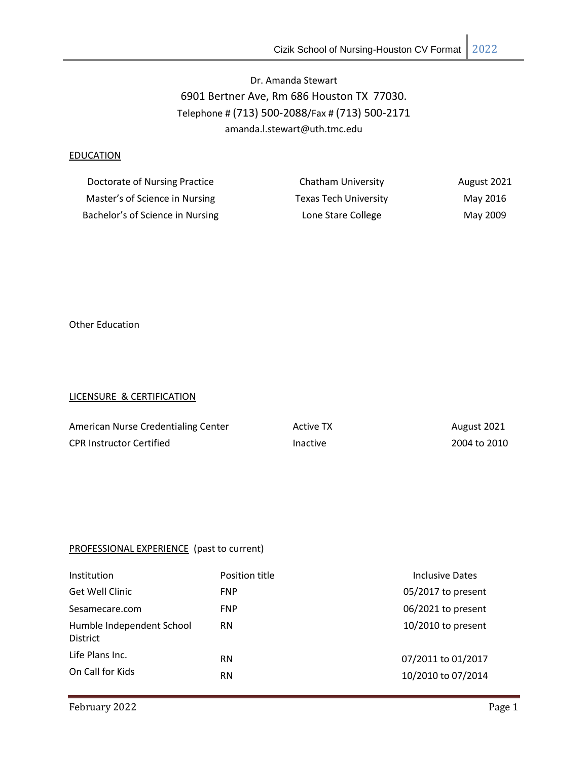# Dr. Amanda Stewart 6901 Bertner Ave, Rm 686 Houston TX 77030. Telephone # (713) 500-2088/Fax # (713) 500-2171 amanda.l.stewart@uth.tmc.edu

# **EDUCATION**

| Doctorate of Nursing Practice    | Chatham University           | <b>August 2021</b> |
|----------------------------------|------------------------------|--------------------|
| Master's of Science in Nursing   | <b>Texas Tech University</b> | May 2016           |
| Bachelor's of Science in Nursing | Lone Stare College           | May 2009           |

Other Education

#### LICENSURE & CERTIFICATION

| American Nurse Credentialing Center | <b>Active TX</b> | August 2021  |
|-------------------------------------|------------------|--------------|
| <b>CPR Instructor Certified</b>     | Inactive         | 2004 to 2010 |

# PROFESSIONAL EXPERIENCE (past to current)

| Institution                                  | Position title | Inclusive Dates      |
|----------------------------------------------|----------------|----------------------|
| Get Well Clinic                              | <b>FNP</b>     | 05/2017 to present   |
| Sesamecare.com                               | <b>FNP</b>     | 06/2021 to present   |
| Humble Independent School<br><b>District</b> | <b>RN</b>      | $10/2010$ to present |
| Life Plans Inc.                              | <b>RN</b>      | 07/2011 to 01/2017   |
| On Call for Kids                             | <b>RN</b>      | 10/2010 to 07/2014   |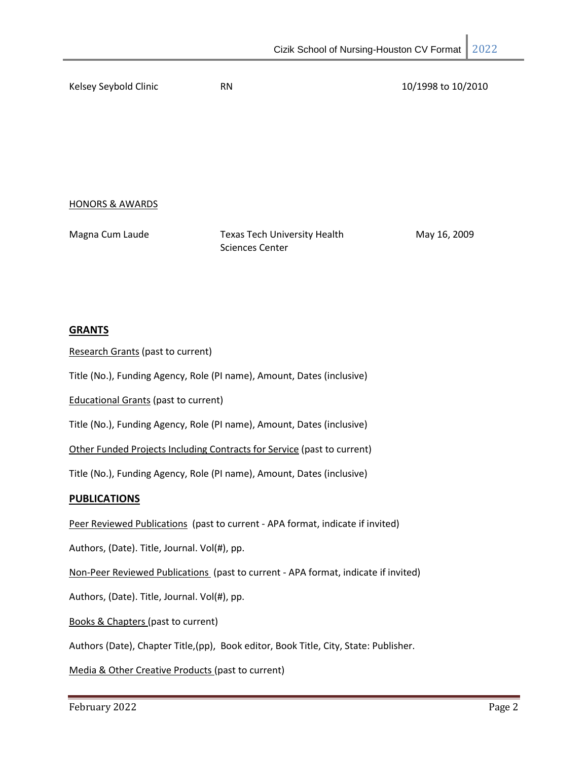Kelsey Seybold Clinic **RN** 10/1998 to 10/2010

HONORS & AWARDS

| Magna Cum Laude | <b>Texas Tech University Health</b> | May 16, 2009 |
|-----------------|-------------------------------------|--------------|
|                 | Sciences Center                     |              |

## **GRANTS**

Research Grants (past to current)

Title (No.), Funding Agency, Role (PI name), Amount, Dates (inclusive)

Educational Grants (past to current)

Title (No.), Funding Agency, Role (PI name), Amount, Dates (inclusive)

Other Funded Projects Including Contracts for Service (past to current)

Title (No.), Funding Agency, Role (PI name), Amount, Dates (inclusive)

## **PUBLICATIONS**

Peer Reviewed Publications (past to current - APA format, indicate if invited)

Authors, (Date). Title, Journal. Vol(#), pp.

Non-Peer Reviewed Publications (past to current - APA format, indicate if invited)

Authors, (Date). Title, Journal. Vol(#), pp.

Books & Chapters (past to current)

Authors (Date), Chapter Title,(pp), Book editor, Book Title, City, State: Publisher.

Media & Other Creative Products (past to current)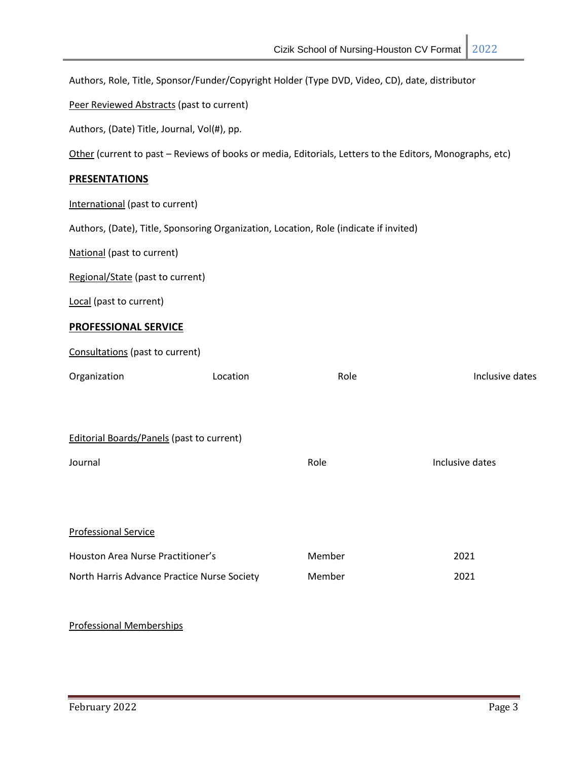Authors, Role, Title, Sponsor/Funder/Copyright Holder (Type DVD, Video, CD), date, distributor

Peer Reviewed Abstracts (past to current)

Authors, (Date) Title, Journal, Vol(#), pp.

Other (current to past – Reviews of books or media, Editorials, Letters to the Editors, Monographs, etc)

# **PRESENTATIONS**

International (past to current)

Authors, (Date), Title, Sponsoring Organization, Location, Role (indicate if invited)

National (past to current)

Regional/State (past to current)

Local (past to current)

## **PROFESSIONAL SERVICE**

Consultations (past to current)

| Organization                                     | Location | Role   | Inclusive dates |
|--------------------------------------------------|----------|--------|-----------------|
|                                                  |          |        |                 |
| <b>Editorial Boards/Panels (past to current)</b> |          |        |                 |
| Journal                                          |          | Role   | Inclusive dates |
|                                                  |          |        |                 |
| <b>Professional Service</b>                      |          |        |                 |
| Houston Area Nurse Practitioner's                |          | Member | 2021            |
| North Harris Advance Practice Nurse Society      |          | Member | 2021            |
|                                                  |          |        |                 |

#### Professional Memberships